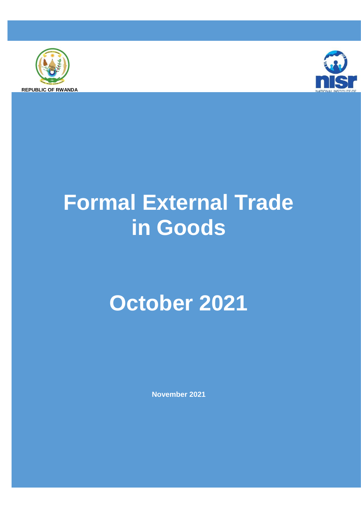



# **Formal External Trade in Goods**

## **October 2021**

**November 2021**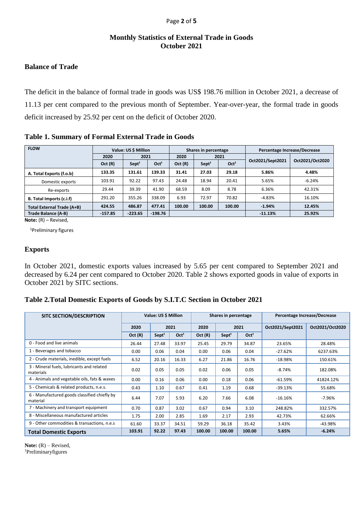#### Page **2** of **5**

## **Monthly Statistics of External Trade in Goods October 2021**

## **Balance of Trade**

The deficit in the balance of formal trade in goods was US\$ 198.76 million in October 2021, a decrease of 11.13 per cent compared to the previous month of September. Year-over-year, the formal trade in goods deficit increased by 25.92 per cent on the deficit of October 2020.

|  | Table 1. Summary of Formal External Trade in Goods |  |  |  |  |
|--|----------------------------------------------------|--|--|--|--|
|--|----------------------------------------------------|--|--|--|--|

| <b>FLOW</b>                | Value: US \$ Million |                   |                  |        | Shares in percentage |                  | Percentage Increase/Decrease |                 |  |
|----------------------------|----------------------|-------------------|------------------|--------|----------------------|------------------|------------------------------|-----------------|--|
|                            | 2021<br>2020         |                   |                  | 2020   |                      | 2021             |                              |                 |  |
|                            | Oct(R)               | Sept <sup>1</sup> | Oct <sup>1</sup> | Oct(R) | Sept <sup>1</sup>    | Oct <sup>1</sup> | Oct2021/Sept2021             | Oct2021/Oct2020 |  |
| A. Total Exports (f.o.b)   | 133.35               | 131.61            | 139.33           | 31.41  | 27.03                | 29.18            | 5.86%                        | 4.48%           |  |
| Domestic exports           | 103.91               | 92.22             | 97.43            | 24.48  | 18.94                | 20.41            | 5.65%                        | $-6.24%$        |  |
| Re-exports                 | 29.44                | 39.39             | 41.90            | 68.59  | 8.09                 | 8.78             | 6.36%                        | 42.31%          |  |
| B. Total Imports (c.i.f)   | 291.20               | 355.26            | 338.09           | 6.93   | 72.97                | 70.82            | $-4.83%$                     | 16.10%          |  |
| Total External Trade (A+B) | 424.55               | 486.87            | 477.41           | 100.00 | 100.00               | 100.00           | $-1.94%$                     | 12.45%          |  |
| Trade Balance (A-B)        | $-157.85$            | $-223.65$         | $-198.76$        |        |                      |                  | $-11.13%$                    | 25.92%          |  |

**Note:** (R) – Revised,

<sup>1</sup>Preliminary figures

## **Exports**

In October 2021, domestic exports values increased by 5.65 per cent compared to September 2021 and decreased by 6.24 per cent compared to October 2020. Table 2 shows exported goods in value of exports in October 2021 by SITC sections.

**Table 2.Total Domestic Exports of Goods by S.I.T.C Section in October 2021**

| <b>SITC SECTION/DESCRIPTION</b>                          | Value: US \$ Million |                   |                  |        | Shares in percentage |                  | Percentage Increase/Decrease |                 |  |
|----------------------------------------------------------|----------------------|-------------------|------------------|--------|----------------------|------------------|------------------------------|-----------------|--|
|                                                          | 2020                 |                   | 2021             | 2020   |                      | 2021             | Oct2021/Sept2021             | Oct2021/Oct2020 |  |
|                                                          | Oct(R)               | Sept <sup>1</sup> | Oct <sup>1</sup> | Oct(R) | Sept <sup>1</sup>    | Oct <sup>1</sup> |                              |                 |  |
| 0 - Food and live animals                                | 26.44                | 27.48             | 33.97            | 25.45  | 29.79                | 34.87            | 23.65%                       | 28.48%          |  |
| 1 - Beverages and tobacco                                | 0.00                 | 0.06              | 0.04             | 0.00   | 0.06                 | 0.04             | $-27.62%$                    | 6237.63%        |  |
| 2 - Crude materials, inedible, except fuels              | 6.52                 | 20.16             | 16.33            | 6.27   | 21.86                | 16.76            | $-18.98%$                    | 150.61%         |  |
| 3 - Mineral fuels, lubricants and related<br>materials   | 0.02                 | 0.05              | 0.05             | 0.02   | 0.06                 | 0.05             | $-8.74%$                     | 182.08%         |  |
| 4 - Animals and vegetable oils, fats & waxes             | 0.00                 | 0.16              | 0.06             | 0.00   | 0.18                 | 0.06             | $-61.59%$                    | 41824.12%       |  |
| 5 - Chemicals & related products, n.e.s.                 | 0.43                 | 1.10              | 0.67             | 0.41   | 1.19                 | 0.68             | $-39.13%$                    | 55.68%          |  |
| 6 - Manufactured goods classified chiefly by<br>material | 6.44                 | 7.07              | 5.93             | 6.20   | 7.66                 | 6.08             | $-16.16%$                    | $-7.96%$        |  |
| 7 - Machinery and transport equipment                    | 0.70                 | 0.87              | 3.02             | 0.67   | 0.94                 | 3.10             | 248.82%                      | 332.57%         |  |
| 8 - Miscellaneous manufactured articles                  | 1.75                 | 2.00              | 2.85             | 1.69   | 2.17                 | 2.93             | 42.73%                       | 62.66%          |  |
| 9 - Other commodities & transactions, n.e.s              | 61.60                | 33.37             | 34.51            | 59.29  | 36.18                | 35.42            | 3.43%                        | -43.98%         |  |
| <b>Total Domestic Exports</b>                            | 103.91               | 92.22             | 97.43            | 100.00 | 100.00               | 100.00           | 5.65%                        | $-6.24%$        |  |

Note:  $(R)$  – Revised,

1Preliminaryfigures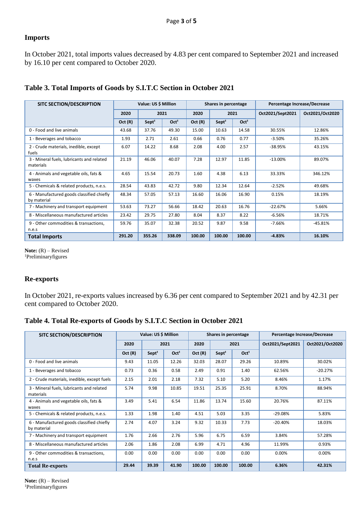## **Imports**

In October 2021, total imports values decreased by 4.83 per cent compared to September 2021 and increased by 16.10 per cent compared to October 2020.

| <b>SITC SECTION/DESCRIPTION</b>                          | Value: US \$ Million |                   |                  | Shares in percentage |                   | Percentage Increase/Decrease |                  |                 |
|----------------------------------------------------------|----------------------|-------------------|------------------|----------------------|-------------------|------------------------------|------------------|-----------------|
|                                                          | 2020                 |                   | 2021             | 2020                 |                   | 2021                         | Oct2021/Sept2021 | Oct2021/Oct2020 |
|                                                          | Oct(R)               | Sept <sup>1</sup> | Oct <sup>1</sup> | Oct(R)               | Sept <sup>1</sup> | Oct <sup>1</sup>             |                  |                 |
| 0 - Food and live animals                                | 43.68                | 37.76             | 49.30            | 15.00                | 10.63             | 14.58                        | 30.55%           | 12.86%          |
| 1 - Beverages and tobacco                                | 1.93                 | 2.71              | 2.61             | 0.66                 | 0.76              | 0.77                         | $-3.50%$         | 35.26%          |
| 2 - Crude materials, inedible, except<br>fuels           | 6.07                 | 14.22             | 8.68             | 2.08                 | 4.00              | 2.57                         | $-38.95%$        | 43.15%          |
| 3 - Mineral fuels, lubricants and related<br>materials   | 21.19                | 46.06             | 40.07            | 7.28                 | 12.97             | 11.85                        | $-13.00%$        | 89.07%          |
| 4 - Animals and vegetable oils, fats &<br>waxes          | 4.65                 | 15.54             | 20.73            | 1.60                 | 4.38              | 6.13                         | 33.33%           | 346.12%         |
| 5 - Chemicals & related products, n.e.s.                 | 28.54                | 43.83             | 42.72            | 9.80                 | 12.34             | 12.64                        | $-2.52%$         | 49.68%          |
| 6 - Manufactured goods classified chiefly<br>by material | 48.34                | 57.05             | 57.13            | 16.60                | 16.06             | 16.90                        | 0.15%            | 18.19%          |
| 7 - Machinery and transport equipment                    | 53.63                | 73.27             | 56.66            | 18.42                | 20.63             | 16.76                        | $-22.67%$        | 5.66%           |
| 8 - Miscellaneous manufactured articles                  | 23.42                | 29.75             | 27.80            | 8.04                 | 8.37              | 8.22                         | $-6.56%$         | 18.71%          |
| 9 - Other commodities & transactions,<br>n.e.s           | 59.76                | 35.07             | 32.38            | 20.52                | 9.87              | 9.58                         | $-7.66%$         | $-45.81%$       |
| <b>Total Imports</b>                                     | 291.20               | 355.26            | 338.09           | 100.00               | 100.00            | 100.00                       | $-4.83%$         | 16.10%          |

## **Table 3. Total Imports of Goods by S.I.T.C Section in October 2021**

Note:  $(R)$  – Revised <sup>1</sup>Preliminaryfigures

## **Re-exports**

In October 2021, re-exports values increased by 6.36 per cent compared to September 2021 and by 42.31 per cent compared to October 2020.

## **Table 4. Total Re-exports of Goods by S.I.T.C Section in October 2021**

| <b>SITC SECTION/DESCRIPTION</b>                          | Value: US \$ Million |                   |                  | Shares in percentage |                   | Percentage Increase/Decrease |                  |                 |
|----------------------------------------------------------|----------------------|-------------------|------------------|----------------------|-------------------|------------------------------|------------------|-----------------|
|                                                          | 2020                 |                   | 2021             | 2020                 |                   | 2021                         | Oct2021/Sept2021 | Oct2021/Oct2020 |
|                                                          | Oct(R)               | Sept <sup>1</sup> | Oct <sup>1</sup> | Oct(R)               | Sept <sup>1</sup> | Oct <sup>1</sup>             |                  |                 |
| 0 - Food and live animals                                | 9.43                 | 11.05             | 12.26            | 32.03                | 28.07             | 29.26                        | 10.89%           | 30.02%          |
| 1 - Beverages and tobacco                                | 0.73                 | 0.36              | 0.58             | 2.49                 | 0.91              | 1.40                         | 62.56%           | $-20.27%$       |
| 2 - Crude materials, inedible, except fuels              | 2.15                 | 2.01              | 2.18             | 7.32                 | 5.10              | 5.20                         | 8.46%            | 1.17%           |
| 3 - Mineral fuels, lubricants and related<br>materials   | 5.74                 | 9.98              | 10.85            | 19.51                | 25.35             | 25.91                        | 8.70%            | 88.94%          |
| 4 - Animals and vegetable oils, fats &<br>waxes          | 3.49                 | 5.41              | 6.54             | 11.86                | 13.74             | 15.60                        | 20.76%           | 87.11%          |
| 5 - Chemicals & related products, n.e.s.                 | 1.33                 | 1.98              | 1.40             | 4.51                 | 5.03              | 3.35                         | $-29.08%$        | 5.83%           |
| 6 - Manufactured goods classified chiefly<br>by material | 2.74                 | 4.07              | 3.24             | 9.32                 | 10.33             | 7.73                         | $-20.40%$        | 18.03%          |
| 7 - Machinery and transport equipment                    | 1.76                 | 2.66              | 2.76             | 5.96                 | 6.75              | 6.59                         | 3.84%            | 57.28%          |
| 8 - Miscellaneous manufactured articles                  | 2.06                 | 1.86              | 2.08             | 6.99                 | 4.71              | 4.96                         | 11.99%           | 0.93%           |
| 9 - Other commodities & transactions,<br>n.e.s           | 0.00                 | 0.00              | 0.00             | 0.00                 | 0.00              | 0.00                         | 0.00%            | 0.00%           |
| <b>Total Re-exports</b>                                  | 29.44                | 39.39             | 41.90            | 100.00               | 100.00            | 100.00                       | 6.36%            | 42.31%          |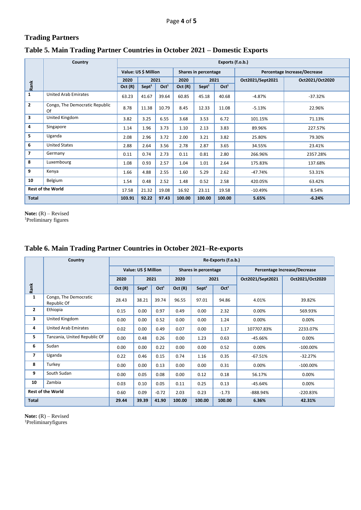## **Trading Partners**

## **Table 5. Main Trading Partner Countries in October 2021 – Domestic Exports**

|                | Country                              | Exports (f.o.b.) |                                              |                  |        |                   |                  |                              |                 |  |  |
|----------------|--------------------------------------|------------------|----------------------------------------------|------------------|--------|-------------------|------------------|------------------------------|-----------------|--|--|
|                |                                      |                  | Value: US \$ Million<br>Shares in percentage |                  |        |                   |                  | Percentage Increase/Decrease |                 |  |  |
|                |                                      | 2020             |                                              | 2021             | 2020   |                   | 2021             | Oct2021/Sept2021             | Oct2021/Oct2020 |  |  |
| Rank           |                                      | Oct(R)           | Sept <sup>1</sup>                            | Oct <sup>1</sup> | Oct(R) | Sept <sup>1</sup> | Oct <sup>1</sup> |                              |                 |  |  |
| 1              | <b>United Arab Emirates</b>          | 63.23            | 41.67                                        | 39.64            | 60.85  | 45.18             | 40.68            | $-4.87%$                     | $-37.32%$       |  |  |
| $\overline{2}$ | Congo, The Democratic Republic<br>Of | 8.78             | 11.38                                        | 10.79            | 8.45   | 12.33             | 11.08            | $-5.13%$                     | 22.96%          |  |  |
| 3              | United Kingdom                       | 3.82             | 3.25                                         | 6.55             | 3.68   | 3.53              | 6.72             | 101.15%                      | 71.13%          |  |  |
| 4              | Singapore                            | 1.14             | 1.96                                         | 3.73             | 1.10   | 2.13              | 3.83             | 89.96%                       | 227.57%         |  |  |
| 5              | Uganda                               | 2.08             | 2.96                                         | 3.72             | 2.00   | 3.21              | 3.82             | 25.80%                       | 79.30%          |  |  |
| 6              | <b>United States</b>                 | 2.88             | 2.64                                         | 3.56             | 2.78   | 2.87              | 3.65             | 34.55%                       | 23.41%          |  |  |
| $\overline{ }$ | Germany                              | 0.11             | 0.74                                         | 2.73             | 0.11   | 0.81              | 2.80             | 266.96%                      | 2357.28%        |  |  |
| 8              | Luxembourg                           | 1.08             | 0.93                                         | 2.57             | 1.04   | 1.01              | 2.64             | 175.83%                      | 137.68%         |  |  |
| 9              | Kenya                                | 1.66             | 4.88                                         | 2.55             | 1.60   | 5.29              | 2.62             | $-47.74%$                    | 53.31%          |  |  |
| 10             | Belgium                              | 1.54             | 0.48                                         | 2.52             | 1.48   | 0.52              | 2.58             | 420.05%                      | 63.42%          |  |  |
|                | <b>Rest of the World</b>             | 17.58            | 21.32                                        | 19.08            | 16.92  | 23.11             | 19.58            | $-10.49%$                    | 8.54%           |  |  |
| <b>Total</b>   |                                      | 103.91           | 92.22                                        | 97.43            | 100.00 | 100.00            | 100.00           | 5.65%                        | $-6.24%$        |  |  |

**Note:** (R) – Revised

<sup>1</sup>Preliminary figures

## **Rank Country Re-Exports (f.o.b.) Value: US \$ Million Shares in percentage** Percentage Increase/Decrease **2020 2021 2020 2021 Oct2021/Sept2021 Oct2021/Oct2020**  $\overline{Oct}$  **(R)**  $\overline{Sept}$ <sup>1</sup>  $\overline{Oct}$ <sup>1</sup>  $\overline{Oct}$  **Oct**<sup>1</sup>  $\overline{Oct}$ <sup>1</sup>  $\overline{Oct}$ <sup>1</sup> **1** Congo, The Democratic<br>Republic Of Pongo, The Bemocratic 28.43 38.21 39.74 96.55 97.01 94.86 4.01% 39.82% **2** Ethiopia 0.15 0.00 0.97 0.49 0.00 2.32 0.00% 569.93% **3** United Kingdom **1.24** 0.00 0.00 0.00 0.52 0.00 0.00 0.00 1.24 0.00% 0.00% 0.00% **4** United Arab Emirates 0.02 0.00 0.49 0.07 0.00 1.17 107707.83% 2233.07% **5** Tanzania, United Republic Of 0.00 0.48 0.26 0.00 1.23 0.63 -45.66% 0.00% **6** Sudan 0.00 0.00 0.22 0.00 0.00 0.52 0.00% -100.00% **7** Uganda 0.22 0.46 0.15 0.74 1.16 0.35 -67.51% -32.27% **8** Turkey 0.00 0.00 0.13 0.00 0.00 0.31 0.00% -100.00% **9** South Sudan 0.00 0.05 0.08 0.00 0.12 0.18 56.17% 0.00% **10** Zambia 0.03 0.10 0.05 0.11 0.25 0.13 -45.64% 0.00% **Rest of the World 0.60 0.09 -0.72 2.03 0.23 -1.73 -888.94% -220.83% Total 29.44 39.39 41.90 100.00 100.00 100.00 6.36% 42.31%**

## **Table 6. Main Trading Partner Countries in October 2021–Re-exports**

**Note:** (R) – Revised 1Preliminaryfigures